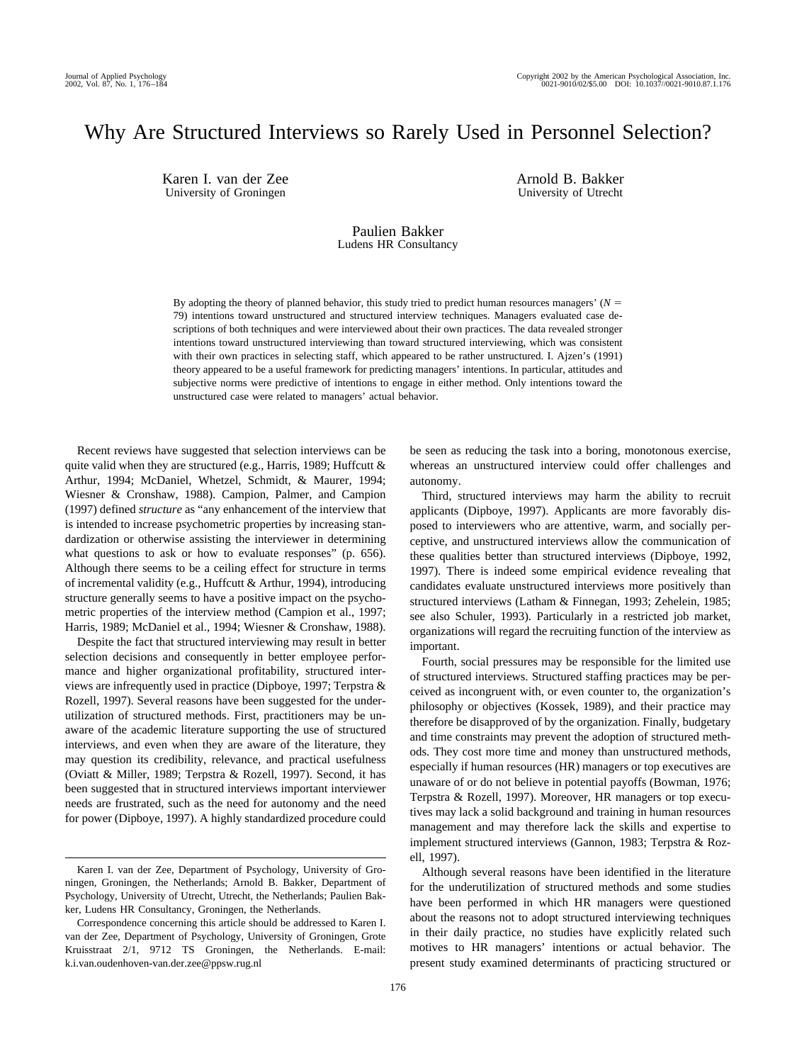# Why Are Structured Interviews so Rarely Used in Personnel Selection?

Karen I. van der Zee University of Groningen

Arnold B. Bakker University of Utrecht

Paulien Bakker Ludens HR Consultancy

By adopting the theory of planned behavior, this study tried to predict human resources managers' (*N* 79) intentions toward unstructured and structured interview techniques. Managers evaluated case descriptions of both techniques and were interviewed about their own practices. The data revealed stronger intentions toward unstructured interviewing than toward structured interviewing, which was consistent with their own practices in selecting staff, which appeared to be rather unstructured. I. Ajzen's (1991) theory appeared to be a useful framework for predicting managers' intentions. In particular, attitudes and subjective norms were predictive of intentions to engage in either method. Only intentions toward the unstructured case were related to managers' actual behavior.

Recent reviews have suggested that selection interviews can be quite valid when they are structured (e.g., Harris, 1989; Huffcutt & Arthur, 1994; McDaniel, Whetzel, Schmidt, & Maurer, 1994; Wiesner & Cronshaw, 1988). Campion, Palmer, and Campion (1997) defined *structure* as "any enhancement of the interview that is intended to increase psychometric properties by increasing standardization or otherwise assisting the interviewer in determining what questions to ask or how to evaluate responses" (p. 656). Although there seems to be a ceiling effect for structure in terms of incremental validity (e.g., Huffcutt & Arthur, 1994), introducing structure generally seems to have a positive impact on the psychometric properties of the interview method (Campion et al., 1997; Harris, 1989; McDaniel et al., 1994; Wiesner & Cronshaw, 1988).

Despite the fact that structured interviewing may result in better selection decisions and consequently in better employee performance and higher organizational profitability, structured interviews are infrequently used in practice (Dipboye, 1997; Terpstra & Rozell, 1997). Several reasons have been suggested for the underutilization of structured methods. First, practitioners may be unaware of the academic literature supporting the use of structured interviews, and even when they are aware of the literature, they may question its credibility, relevance, and practical usefulness (Oviatt & Miller, 1989; Terpstra & Rozell, 1997). Second, it has been suggested that in structured interviews important interviewer needs are frustrated, such as the need for autonomy and the need for power (Dipboye, 1997). A highly standardized procedure could be seen as reducing the task into a boring, monotonous exercise, whereas an unstructured interview could offer challenges and autonomy.

Third, structured interviews may harm the ability to recruit applicants (Dipboye, 1997). Applicants are more favorably disposed to interviewers who are attentive, warm, and socially perceptive, and unstructured interviews allow the communication of these qualities better than structured interviews (Dipboye, 1992, 1997). There is indeed some empirical evidence revealing that candidates evaluate unstructured interviews more positively than structured interviews (Latham & Finnegan, 1993; Zehelein, 1985; see also Schuler, 1993). Particularly in a restricted job market, organizations will regard the recruiting function of the interview as important.

Fourth, social pressures may be responsible for the limited use of structured interviews. Structured staffing practices may be perceived as incongruent with, or even counter to, the organization's philosophy or objectives (Kossek, 1989), and their practice may therefore be disapproved of by the organization. Finally, budgetary and time constraints may prevent the adoption of structured methods. They cost more time and money than unstructured methods, especially if human resources (HR) managers or top executives are unaware of or do not believe in potential payoffs (Bowman, 1976; Terpstra & Rozell, 1997). Moreover, HR managers or top executives may lack a solid background and training in human resources management and may therefore lack the skills and expertise to implement structured interviews (Gannon, 1983; Terpstra & Rozell, 1997).

Although several reasons have been identified in the literature for the underutilization of structured methods and some studies have been performed in which HR managers were questioned about the reasons not to adopt structured interviewing techniques in their daily practice, no studies have explicitly related such motives to HR managers' intentions or actual behavior. The present study examined determinants of practicing structured or

Karen I. van der Zee, Department of Psychology, University of Groningen, Groningen, the Netherlands; Arnold B. Bakker, Department of Psychology, University of Utrecht, Utrecht, the Netherlands; Paulien Bakker, Ludens HR Consultancy, Groningen, the Netherlands.

Correspondence concerning this article should be addressed to Karen I. van der Zee, Department of Psychology, University of Groningen, Grote Kruisstraat 2/1, 9712 TS Groningen, the Netherlands. E-mail: k.i.van.oudenhoven-van.der.zee@ppsw.rug.nl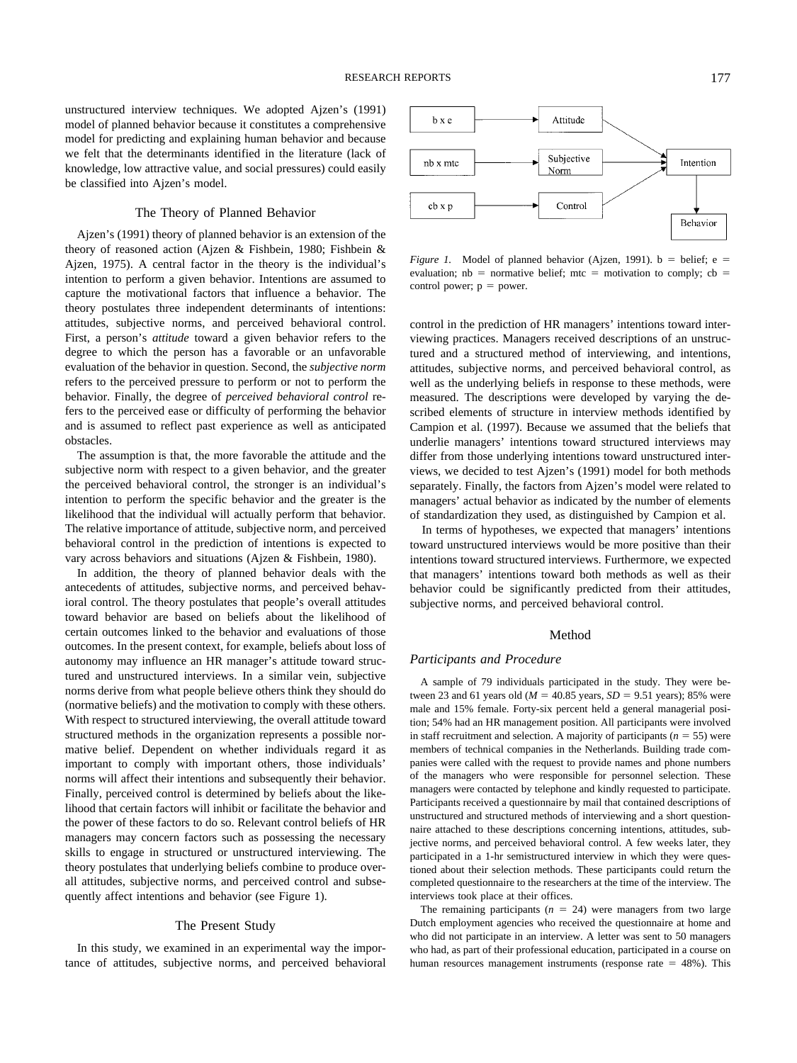unstructured interview techniques. We adopted Ajzen's (1991) model of planned behavior because it constitutes a comprehensive model for predicting and explaining human behavior and because we felt that the determinants identified in the literature (lack of knowledge, low attractive value, and social pressures) could easily be classified into Ajzen's model.

# The Theory of Planned Behavior

Ajzen's (1991) theory of planned behavior is an extension of the theory of reasoned action (Ajzen & Fishbein, 1980; Fishbein & Ajzen, 1975). A central factor in the theory is the individual's intention to perform a given behavior. Intentions are assumed to capture the motivational factors that influence a behavior. The theory postulates three independent determinants of intentions: attitudes, subjective norms, and perceived behavioral control. First, a person's *attitude* toward a given behavior refers to the degree to which the person has a favorable or an unfavorable evaluation of the behavior in question. Second, the *subjective norm* refers to the perceived pressure to perform or not to perform the behavior. Finally, the degree of *perceived behavioral control* refers to the perceived ease or difficulty of performing the behavior and is assumed to reflect past experience as well as anticipated obstacles.

The assumption is that, the more favorable the attitude and the subjective norm with respect to a given behavior, and the greater the perceived behavioral control, the stronger is an individual's intention to perform the specific behavior and the greater is the likelihood that the individual will actually perform that behavior. The relative importance of attitude, subjective norm, and perceived behavioral control in the prediction of intentions is expected to vary across behaviors and situations (Ajzen & Fishbein, 1980).

In addition, the theory of planned behavior deals with the antecedents of attitudes, subjective norms, and perceived behavioral control. The theory postulates that people's overall attitudes toward behavior are based on beliefs about the likelihood of certain outcomes linked to the behavior and evaluations of those outcomes. In the present context, for example, beliefs about loss of autonomy may influence an HR manager's attitude toward structured and unstructured interviews. In a similar vein, subjective norms derive from what people believe others think they should do (normative beliefs) and the motivation to comply with these others. With respect to structured interviewing, the overall attitude toward structured methods in the organization represents a possible normative belief. Dependent on whether individuals regard it as important to comply with important others, those individuals' norms will affect their intentions and subsequently their behavior. Finally, perceived control is determined by beliefs about the likelihood that certain factors will inhibit or facilitate the behavior and the power of these factors to do so. Relevant control beliefs of HR managers may concern factors such as possessing the necessary skills to engage in structured or unstructured interviewing. The theory postulates that underlying beliefs combine to produce overall attitudes, subjective norms, and perceived control and subsequently affect intentions and behavior (see Figure 1).

# The Present Study

In this study, we examined in an experimental way the importance of attitudes, subjective norms, and perceived behavioral



*Figure 1.* Model of planned behavior (Ajzen, 1991).  $b = \text{belief}$ ; e evaluation;  $nb =$  normative belief;  $mtc =$  motivation to comply;  $cb =$ control power;  $p = power$ .

control in the prediction of HR managers' intentions toward interviewing practices. Managers received descriptions of an unstructured and a structured method of interviewing, and intentions, attitudes, subjective norms, and perceived behavioral control, as well as the underlying beliefs in response to these methods, were measured. The descriptions were developed by varying the described elements of structure in interview methods identified by Campion et al. (1997). Because we assumed that the beliefs that underlie managers' intentions toward structured interviews may differ from those underlying intentions toward unstructured interviews, we decided to test Ajzen's (1991) model for both methods separately. Finally, the factors from Ajzen's model were related to managers' actual behavior as indicated by the number of elements of standardization they used, as distinguished by Campion et al.

In terms of hypotheses, we expected that managers' intentions toward unstructured interviews would be more positive than their intentions toward structured interviews. Furthermore, we expected that managers' intentions toward both methods as well as their behavior could be significantly predicted from their attitudes, subjective norms, and perceived behavioral control.

### Method

# *Participants and Procedure*

A sample of 79 individuals participated in the study. They were between 23 and 61 years old ( $M = 40.85$  years,  $SD = 9.51$  years); 85% were male and 15% female. Forty-six percent held a general managerial position; 54% had an HR management position. All participants were involved in staff recruitment and selection. A majority of participants ( $n = 55$ ) were members of technical companies in the Netherlands. Building trade companies were called with the request to provide names and phone numbers of the managers who were responsible for personnel selection. These managers were contacted by telephone and kindly requested to participate. Participants received a questionnaire by mail that contained descriptions of unstructured and structured methods of interviewing and a short questionnaire attached to these descriptions concerning intentions, attitudes, subjective norms, and perceived behavioral control. A few weeks later, they participated in a 1-hr semistructured interview in which they were questioned about their selection methods. These participants could return the completed questionnaire to the researchers at the time of the interview. The interviews took place at their offices.

The remaining participants  $(n = 24)$  were managers from two large Dutch employment agencies who received the questionnaire at home and who did not participate in an interview. A letter was sent to 50 managers who had, as part of their professional education, participated in a course on human resources management instruments (response rate  $= 48\%$ ). This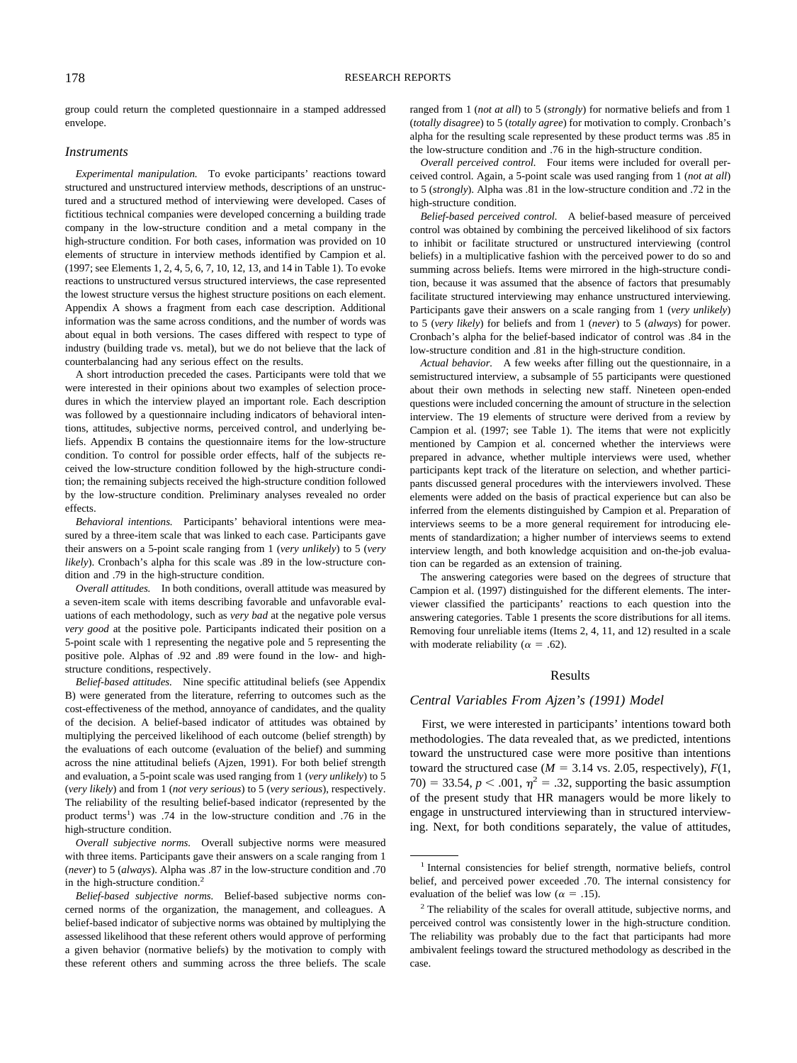group could return the completed questionnaire in a stamped addressed envelope.

# *Instruments*

*Experimental manipulation*. To evoke participants' reactions toward structured and unstructured interview methods, descriptions of an unstructured and a structured method of interviewing were developed. Cases of fictitious technical companies were developed concerning a building trade company in the low-structure condition and a metal company in the high-structure condition. For both cases, information was provided on 10 elements of structure in interview methods identified by Campion et al. (1997; see Elements 1, 2, 4, 5, 6, 7, 10, 12, 13, and 14 in Table 1). To evoke reactions to unstructured versus structured interviews, the case represented the lowest structure versus the highest structure positions on each element. Appendix A shows a fragment from each case description. Additional information was the same across conditions, and the number of words was about equal in both versions. The cases differed with respect to type of industry (building trade vs. metal), but we do not believe that the lack of counterbalancing had any serious effect on the results.

A short introduction preceded the cases. Participants were told that we were interested in their opinions about two examples of selection procedures in which the interview played an important role. Each description was followed by a questionnaire including indicators of behavioral intentions, attitudes, subjective norms, perceived control, and underlying beliefs. Appendix B contains the questionnaire items for the low-structure condition. To control for possible order effects, half of the subjects received the low-structure condition followed by the high-structure condition; the remaining subjects received the high-structure condition followed by the low-structure condition. Preliminary analyses revealed no order effects.

*Behavioral intentions.* Participants' behavioral intentions were measured by a three-item scale that was linked to each case. Participants gave their answers on a 5-point scale ranging from 1 (*very unlikely*) to 5 (*very likely*). Cronbach's alpha for this scale was .89 in the low-structure condition and .79 in the high-structure condition.

*Overall attitudes.* In both conditions, overall attitude was measured by a seven-item scale with items describing favorable and unfavorable evaluations of each methodology, such as *very bad* at the negative pole versus *very good* at the positive pole. Participants indicated their position on a 5-point scale with 1 representing the negative pole and 5 representing the positive pole. Alphas of .92 and .89 were found in the low- and highstructure conditions, respectively.

*Belief-based attitudes.* Nine specific attitudinal beliefs (see Appendix B) were generated from the literature, referring to outcomes such as the cost-effectiveness of the method, annoyance of candidates, and the quality of the decision. A belief-based indicator of attitudes was obtained by multiplying the perceived likelihood of each outcome (belief strength) by the evaluations of each outcome (evaluation of the belief) and summing across the nine attitudinal beliefs (Ajzen, 1991). For both belief strength and evaluation, a 5-point scale was used ranging from 1 (*very unlikely*) to 5 (*very likely*) and from 1 (*not very serious*) to 5 (*very serious*), respectively. The reliability of the resulting belief-based indicator (represented by the product terms<sup>1</sup>) was .74 in the low-structure condition and .76 in the high-structure condition.

*Overall subjective norms.* Overall subjective norms were measured with three items. Participants gave their answers on a scale ranging from 1 (*never*) to 5 (*always*). Alpha was .87 in the low-structure condition and .70 in the high-structure condition.<sup>2</sup>

*Belief-based subjective norms.* Belief-based subjective norms concerned norms of the organization, the management, and colleagues. A belief-based indicator of subjective norms was obtained by multiplying the assessed likelihood that these referent others would approve of performing a given behavior (normative beliefs) by the motivation to comply with these referent others and summing across the three beliefs. The scale ranged from 1 (*not at all*) to 5 (*strongly*) for normative beliefs and from 1 (*totally disagree*) to 5 (*totally agree*) for motivation to comply. Cronbach's alpha for the resulting scale represented by these product terms was .85 in the low-structure condition and .76 in the high-structure condition.

*Overall perceived control.* Four items were included for overall perceived control. Again, a 5-point scale was used ranging from 1 (*not at all*) to 5 (*strongly*). Alpha was .81 in the low-structure condition and .72 in the high-structure condition.

*Belief-based perceived control.* A belief-based measure of perceived control was obtained by combining the perceived likelihood of six factors to inhibit or facilitate structured or unstructured interviewing (control beliefs) in a multiplicative fashion with the perceived power to do so and summing across beliefs. Items were mirrored in the high-structure condition, because it was assumed that the absence of factors that presumably facilitate structured interviewing may enhance unstructured interviewing. Participants gave their answers on a scale ranging from 1 (*very unlikely*) to 5 (*very likely*) for beliefs and from 1 (*never*) to 5 (*always*) for power. Cronbach's alpha for the belief-based indicator of control was .84 in the low-structure condition and .81 in the high-structure condition.

*Actual behavior.* A few weeks after filling out the questionnaire, in a semistructured interview, a subsample of 55 participants were questioned about their own methods in selecting new staff. Nineteen open-ended questions were included concerning the amount of structure in the selection interview. The 19 elements of structure were derived from a review by Campion et al. (1997; see Table 1). The items that were not explicitly mentioned by Campion et al. concerned whether the interviews were prepared in advance, whether multiple interviews were used, whether participants kept track of the literature on selection, and whether participants discussed general procedures with the interviewers involved. These elements were added on the basis of practical experience but can also be inferred from the elements distinguished by Campion et al. Preparation of interviews seems to be a more general requirement for introducing elements of standardization; a higher number of interviews seems to extend interview length, and both knowledge acquisition and on-the-job evaluation can be regarded as an extension of training.

The answering categories were based on the degrees of structure that Campion et al. (1997) distinguished for the different elements. The interviewer classified the participants' reactions to each question into the answering categories. Table 1 presents the score distributions for all items. Removing four unreliable items (Items 2, 4, 11, and 12) resulted in a scale with moderate reliability ( $\alpha = .62$ ).

### Results

#### *Central Variables From Ajzen's (1991) Model*

First, we were interested in participants' intentions toward both methodologies. The data revealed that, as we predicted, intentions toward the unstructured case were more positive than intentions toward the structured case ( $M = 3.14$  vs. 2.05, respectively),  $F(1)$ ,  $70 = 33.54, p < .001, \eta^2 = .32$ , supporting the basic assumption of the present study that HR managers would be more likely to engage in unstructured interviewing than in structured interviewing. Next, for both conditions separately, the value of attitudes,

<sup>1</sup> Internal consistencies for belief strength, normative beliefs, control belief, and perceived power exceeded .70. The internal consistency for evaluation of the belief was low ( $\alpha = .15$ ).

<sup>&</sup>lt;sup>2</sup> The reliability of the scales for overall attitude, subjective norms, and perceived control was consistently lower in the high-structure condition. The reliability was probably due to the fact that participants had more ambivalent feelings toward the structured methodology as described in the case.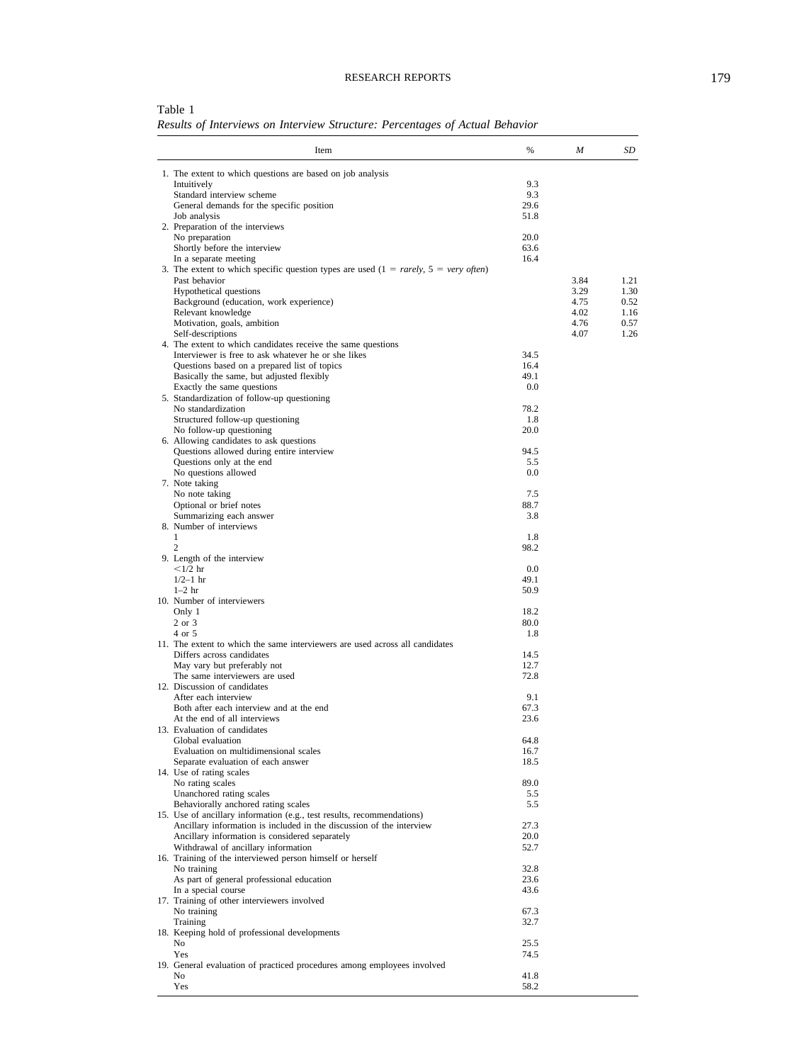# RESEARCH REPORTS 179

| Table 1                                                                      |  |  |
|------------------------------------------------------------------------------|--|--|
| Results of Interviews on Interview Structure: Percentages of Actual Behavior |  |  |

| Item                                                                                   | %            | M            | SD           |
|----------------------------------------------------------------------------------------|--------------|--------------|--------------|
| 1. The extent to which questions are based on job analysis<br>Intuitively              | 9.3          |              |              |
| Standard interview scheme                                                              | 9.3          |              |              |
| General demands for the specific position                                              | 29.6         |              |              |
| Job analysis                                                                           | 51.8         |              |              |
| 2. Preparation of the interviews                                                       |              |              |              |
| No preparation                                                                         | 20.0         |              |              |
| Shortly before the interview<br>In a separate meeting                                  | 63.6<br>16.4 |              |              |
| 3. The extent to which specific question types are used $(1 = rarely, 5 = very often)$ |              |              |              |
| Past behavior                                                                          |              | 3.84         | 1.21         |
| Hypothetical questions                                                                 |              | 3.29         | 1.30         |
| Background (education, work experience)                                                |              | 4.75         | 0.52         |
| Relevant knowledge<br>Motivation, goals, ambition                                      |              | 4.02<br>4.76 | 1.16<br>0.57 |
| Self-descriptions                                                                      |              | 4.07         | 1.26         |
| 4. The extent to which candidates receive the same questions                           |              |              |              |
| Interviewer is free to ask whatever he or she likes                                    | 34.5         |              |              |
| Questions based on a prepared list of topics                                           | 16.4         |              |              |
| Basically the same, but adjusted flexibly                                              | 49.1         |              |              |
| Exactly the same questions<br>5. Standardization of follow-up questioning              | 0.0          |              |              |
| No standardization                                                                     | 78.2         |              |              |
| Structured follow-up questioning                                                       | 1.8          |              |              |
| No follow-up questioning                                                               | 20.0         |              |              |
| 6. Allowing candidates to ask questions                                                |              |              |              |
| Questions allowed during entire interview                                              | 94.5         |              |              |
| Questions only at the end<br>No questions allowed                                      | 5.5<br>0.0   |              |              |
| 7. Note taking                                                                         |              |              |              |
| No note taking                                                                         | 7.5          |              |              |
| Optional or brief notes                                                                | 88.7         |              |              |
| Summarizing each answer                                                                | 3.8          |              |              |
| 8. Number of interviews<br>1                                                           | 1.8          |              |              |
| 2                                                                                      | 98.2         |              |              |
| 9. Length of the interview                                                             |              |              |              |
| $<1/2$ hr                                                                              | 0.0          |              |              |
| $1/2-1$ hr                                                                             | 49.1         |              |              |
| $1-2$ hr<br>10. Number of interviewers                                                 | 50.9         |              |              |
| Only 1                                                                                 | 18.2         |              |              |
| 2 or 3                                                                                 | 80.0         |              |              |
| 4 or 5                                                                                 | 1.8          |              |              |
| 11. The extent to which the same interviewers are used across all candidates           |              |              |              |
| Differs across candidates<br>May vary but preferably not                               | 14.5<br>12.7 |              |              |
| The same interviewers are used                                                         | 72.8         |              |              |
| 12. Discussion of candidates                                                           |              |              |              |
| After each interview                                                                   | 9.1          |              |              |
| Both after each interview and at the end                                               | 67.3         |              |              |
| At the end of all interviews                                                           | 23.6         |              |              |
| 13. Evaluation of candidates<br>Global evaluation                                      | 64.8         |              |              |
| Evaluation on multidimensional scales                                                  | 16.7         |              |              |
| Separate evaluation of each answer                                                     | 18.5         |              |              |
| 14. Use of rating scales                                                               |              |              |              |
| No rating scales                                                                       | 89.0         |              |              |
| Unanchored rating scales<br>Behaviorally anchored rating scales                        | 5.5<br>5.5   |              |              |
| 15. Use of ancillary information (e.g., test results, recommendations)                 |              |              |              |
| Ancillary information is included in the discussion of the interview                   | 27.3         |              |              |
| Ancillary information is considered separately                                         | 20.0         |              |              |
| Withdrawal of ancillary information                                                    | 52.7         |              |              |
| 16. Training of the interviewed person himself or herself                              |              |              |              |
| No training<br>As part of general professional education                               | 32.8<br>23.6 |              |              |
| In a special course                                                                    | 43.6         |              |              |
| 17. Training of other interviewers involved                                            |              |              |              |
| No training                                                                            | 67.3         |              |              |
| Training                                                                               | 32.7         |              |              |
| 18. Keeping hold of professional developments<br>No                                    | 25.5         |              |              |
| Yes                                                                                    | 74.5         |              |              |
| 19. General evaluation of practiced procedures among employees involved                |              |              |              |
| No                                                                                     | 41.8         |              |              |
| Yes                                                                                    | 58.2         |              |              |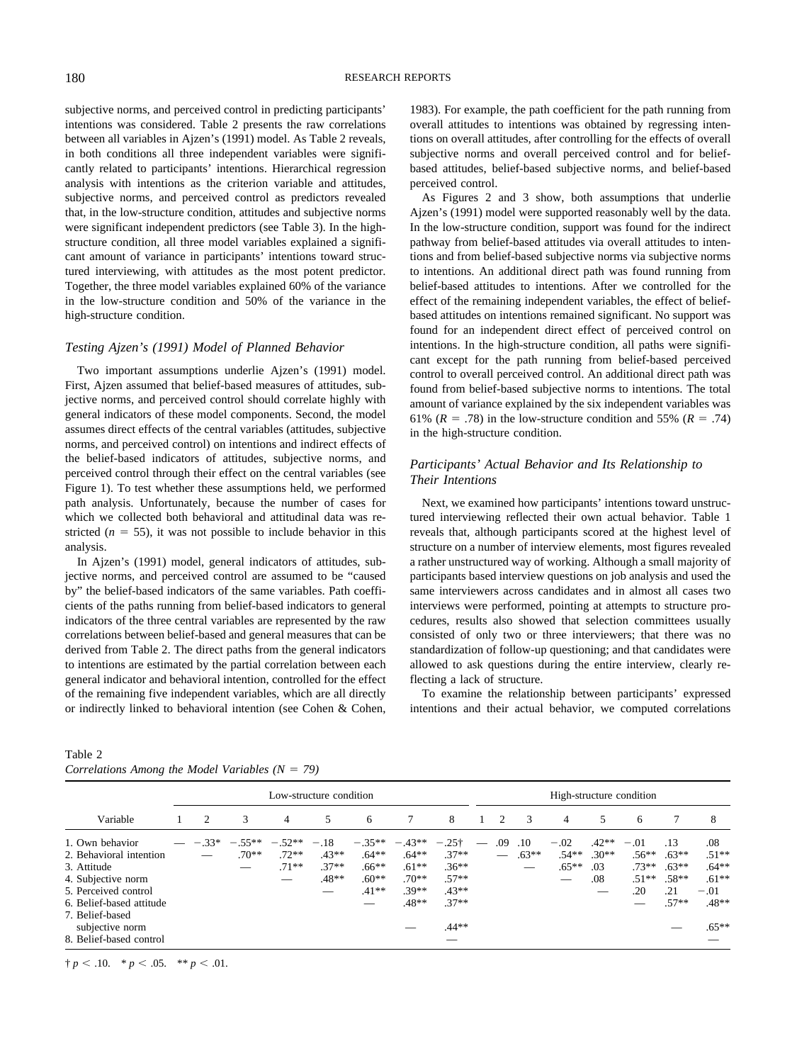subjective norms, and perceived control in predicting participants' intentions was considered. Table 2 presents the raw correlations between all variables in Ajzen's (1991) model. As Table 2 reveals, in both conditions all three independent variables were significantly related to participants' intentions. Hierarchical regression analysis with intentions as the criterion variable and attitudes, subjective norms, and perceived control as predictors revealed that, in the low-structure condition, attitudes and subjective norms were significant independent predictors (see Table 3). In the highstructure condition, all three model variables explained a significant amount of variance in participants' intentions toward structured interviewing, with attitudes as the most potent predictor. Together, the three model variables explained 60% of the variance in the low-structure condition and 50% of the variance in the high-structure condition.

# *Testing Ajzen's (1991) Model of Planned Behavior*

Two important assumptions underlie Ajzen's (1991) model. First, Ajzen assumed that belief-based measures of attitudes, subjective norms, and perceived control should correlate highly with general indicators of these model components. Second, the model assumes direct effects of the central variables (attitudes, subjective norms, and perceived control) on intentions and indirect effects of the belief-based indicators of attitudes, subjective norms, and perceived control through their effect on the central variables (see Figure 1). To test whether these assumptions held, we performed path analysis. Unfortunately, because the number of cases for which we collected both behavioral and attitudinal data was restricted  $(n = 55)$ , it was not possible to include behavior in this analysis.

In Ajzen's (1991) model, general indicators of attitudes, subjective norms, and perceived control are assumed to be "caused by" the belief-based indicators of the same variables. Path coefficients of the paths running from belief-based indicators to general indicators of the three central variables are represented by the raw correlations between belief-based and general measures that can be derived from Table 2. The direct paths from the general indicators to intentions are estimated by the partial correlation between each general indicator and behavioral intention, controlled for the effect of the remaining five independent variables, which are all directly or indirectly linked to behavioral intention (see Cohen & Cohen, 1983). For example, the path coefficient for the path running from overall attitudes to intentions was obtained by regressing intentions on overall attitudes, after controlling for the effects of overall subjective norms and overall perceived control and for beliefbased attitudes, belief-based subjective norms, and belief-based perceived control.

As Figures 2 and 3 show, both assumptions that underlie Ajzen's (1991) model were supported reasonably well by the data. In the low-structure condition, support was found for the indirect pathway from belief-based attitudes via overall attitudes to intentions and from belief-based subjective norms via subjective norms to intentions. An additional direct path was found running from belief-based attitudes to intentions. After we controlled for the effect of the remaining independent variables, the effect of beliefbased attitudes on intentions remained significant. No support was found for an independent direct effect of perceived control on intentions. In the high-structure condition, all paths were significant except for the path running from belief-based perceived control to overall perceived control. An additional direct path was found from belief-based subjective norms to intentions. The total amount of variance explained by the six independent variables was 61% ( $R = .78$ ) in the low-structure condition and 55% ( $R = .74$ ) in the high-structure condition.

# *Participants' Actual Behavior and Its Relationship to Their Intentions*

Next, we examined how participants' intentions toward unstructured interviewing reflected their own actual behavior. Table 1 reveals that, although participants scored at the highest level of structure on a number of interview elements, most figures revealed a rather unstructured way of working. Although a small majority of participants based interview questions on job analysis and used the same interviewers across candidates and in almost all cases two interviews were performed, pointing at attempts to structure procedures, results also showed that selection committees usually consisted of only two or three interviewers; that there was no standardization of follow-up questioning; and that candidates were allowed to ask questions during the entire interview, clearly reflecting a lack of structure.

To examine the relationship between participants' expressed intentions and their actual behavior, we computed correlations

| nı<br>а |
|---------|
|---------|

*Correlations Among the Model Variables (N 79)*

| Low-structure condition            |  |         |          |              | High-structure condition |          |                  |               |                          |     |         |                |         |         |         |          |
|------------------------------------|--|---------|----------|--------------|--------------------------|----------|------------------|---------------|--------------------------|-----|---------|----------------|---------|---------|---------|----------|
| Variable                           |  | 2       | 3        | 4            | 5                        | 6        |                  | 8             |                          | 2   | 3       | $\overline{4}$ | 5       | 6       |         | 8        |
| 1. Own behavior                    |  | $-.33*$ | $-.55**$ | $-.52** -18$ |                          |          | $-.35** - .43**$ | $-.25\dagger$ | $\overline{\phantom{a}}$ | .09 | $.10\,$ | $-.02$         | $.42**$ | $-.01$  | .13     | .08      |
| 2. Behavioral intention            |  |         | $.70**$  | $.72**$      | $.43**$                  | $.64**$  | $.64**$          | $.37**$       |                          |     | $.63**$ | .54**          | $.30**$ | $.56**$ | $.63**$ | $.51**$  |
| 3. Attitude                        |  |         |          | $.71**$      | $.37**$                  | $.66***$ | $.61**$          | $.36**$       |                          |     |         | $.65***$       | .03     | $.73**$ | $.63**$ | $.64**$  |
| 4. Subjective norm                 |  |         |          |              | $.48**$                  | $.60**$  | $.70**$          | $.57**$       |                          |     |         |                | .08     | $.51**$ | $.58**$ | $.61**$  |
| 5. Perceived control               |  |         |          |              |                          | $.41**$  | $.39**$          | $.43**$       |                          |     |         |                |         | .20     | .21     | $-.01$   |
| 6. Belief-based attitude           |  |         |          |              |                          |          | $.48**$          | $.37**$       |                          |     |         |                |         |         | $.57**$ | $.48**$  |
| 7. Belief-based<br>subjective norm |  |         |          |              |                          |          |                  | .44**         |                          |     |         |                |         |         |         | $.65***$ |
| 8. Belief-based control            |  |         |          |              |                          |          |                  |               |                          |     |         |                |         |         |         |          |

$$
\dagger p < .10.
$$
  $* p < .05.$   $** p < .01.$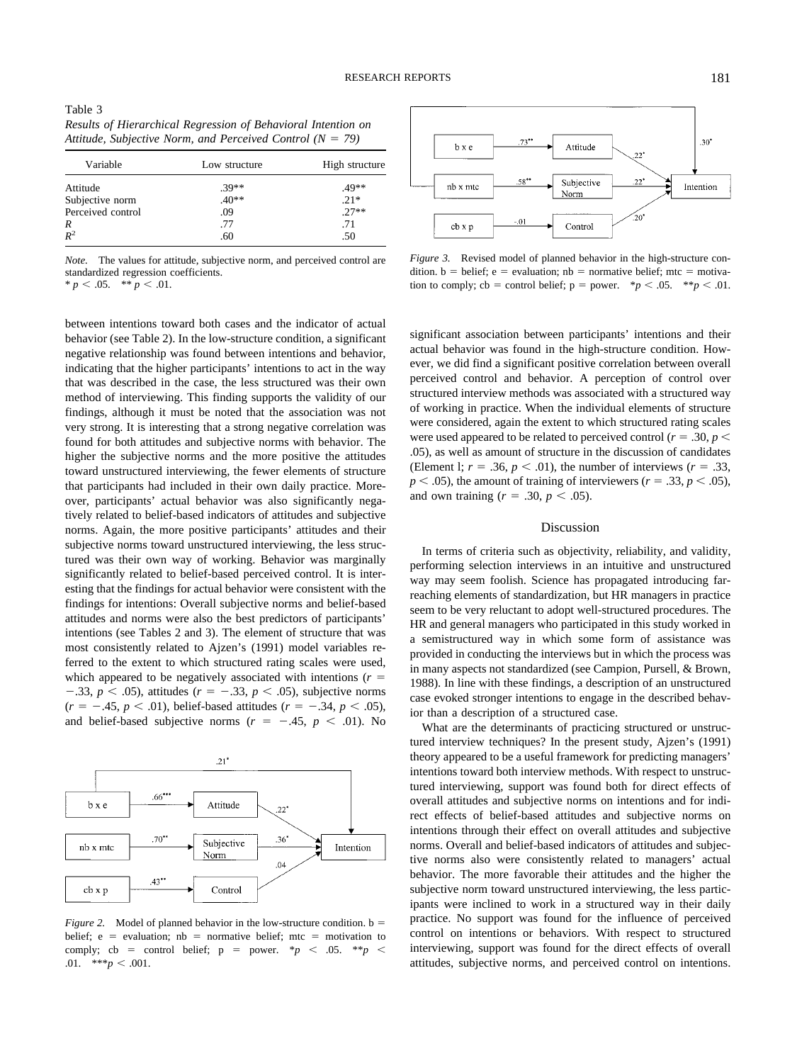Table 3 *Results of Hierarchical Regression of Behavioral Intention on Attitude, Subjective Norm, and Perceived Control (N 79)*

| Variable          | Low structure | High structure |  |  |  |
|-------------------|---------------|----------------|--|--|--|
| Attitude          | $.39**$       | .49**          |  |  |  |
| Subjective norm   | $.40**$       | $.21*$         |  |  |  |
| Perceived control | .09           | $.27**$        |  |  |  |
| R                 | .77           | .71            |  |  |  |
| $R^2$             | .60           | .50            |  |  |  |

*Note.* The values for attitude, subjective norm, and perceived control are standardized regression coefficients.

 $* p < .05.$   $* p < .01.$ 

between intentions toward both cases and the indicator of actual behavior (see Table 2). In the low-structure condition, a significant negative relationship was found between intentions and behavior, indicating that the higher participants' intentions to act in the way that was described in the case, the less structured was their own method of interviewing. This finding supports the validity of our findings, although it must be noted that the association was not very strong. It is interesting that a strong negative correlation was found for both attitudes and subjective norms with behavior. The higher the subjective norms and the more positive the attitudes toward unstructured interviewing, the fewer elements of structure that participants had included in their own daily practice. Moreover, participants' actual behavior was also significantly negatively related to belief-based indicators of attitudes and subjective norms. Again, the more positive participants' attitudes and their subjective norms toward unstructured interviewing, the less structured was their own way of working. Behavior was marginally significantly related to belief-based perceived control. It is interesting that the findings for actual behavior were consistent with the findings for intentions: Overall subjective norms and belief-based attitudes and norms were also the best predictors of participants' intentions (see Tables 2 and 3). The element of structure that was most consistently related to Ajzen's (1991) model variables referred to the extent to which structured rating scales were used, which appeared to be negatively associated with intentions  $(r =$  $-0.33$ ,  $p < 0.05$ ), attitudes ( $r = -0.33$ ,  $p < 0.05$ ), subjective norms  $(r = -.45, p < .01)$ , belief-based attitudes  $(r = -.34, p < .05)$ , and belief-based subjective norms  $(r = -.45, p < .01)$ . No



*Figure 2.* Model of planned behavior in the low-structure condition. b = belief;  $e =$  evaluation;  $nb =$  normative belief;  $mtc =$  motivation to comply; cb = control belief;  $p = power.$  \**p* < .05. \*\**p* <  $.01.$  \*\*\* $p < .001.$ 



*Figure 3.* Revised model of planned behavior in the high-structure condition.  $b = \text{belief}$ ;  $e = \text{evaluation}$ ;  $nb = \text{normalive belief}$ ; mtc = motivation to comply; cb = control belief;  $p = power$ .  $* p < .05$ .  $* p < .01$ .

significant association between participants' intentions and their actual behavior was found in the high-structure condition. However, we did find a significant positive correlation between overall perceived control and behavior. A perception of control over structured interview methods was associated with a structured way of working in practice. When the individual elements of structure were considered, again the extent to which structured rating scales were used appeared to be related to perceived control ( $r = .30, p <$ .05), as well as amount of structure in the discussion of candidates (Element l;  $r = .36$ ,  $p < .01$ ), the number of interviews ( $r = .33$ ,  $p < .05$ ), the amount of training of interviewers ( $r = .33, p < .05$ ), and own training  $(r = .30, p < .05)$ .

# Discussion

In terms of criteria such as objectivity, reliability, and validity, performing selection interviews in an intuitive and unstructured way may seem foolish. Science has propagated introducing farreaching elements of standardization, but HR managers in practice seem to be very reluctant to adopt well-structured procedures. The HR and general managers who participated in this study worked in a semistructured way in which some form of assistance was provided in conducting the interviews but in which the process was in many aspects not standardized (see Campion, Pursell, & Brown, 1988). In line with these findings, a description of an unstructured case evoked stronger intentions to engage in the described behavior than a description of a structured case.

What are the determinants of practicing structured or unstructured interview techniques? In the present study, Ajzen's (1991) theory appeared to be a useful framework for predicting managers' intentions toward both interview methods. With respect to unstructured interviewing, support was found both for direct effects of overall attitudes and subjective norms on intentions and for indirect effects of belief-based attitudes and subjective norms on intentions through their effect on overall attitudes and subjective norms. Overall and belief-based indicators of attitudes and subjective norms also were consistently related to managers' actual behavior. The more favorable their attitudes and the higher the subjective norm toward unstructured interviewing, the less participants were inclined to work in a structured way in their daily practice. No support was found for the influence of perceived control on intentions or behaviors. With respect to structured interviewing, support was found for the direct effects of overall attitudes, subjective norms, and perceived control on intentions.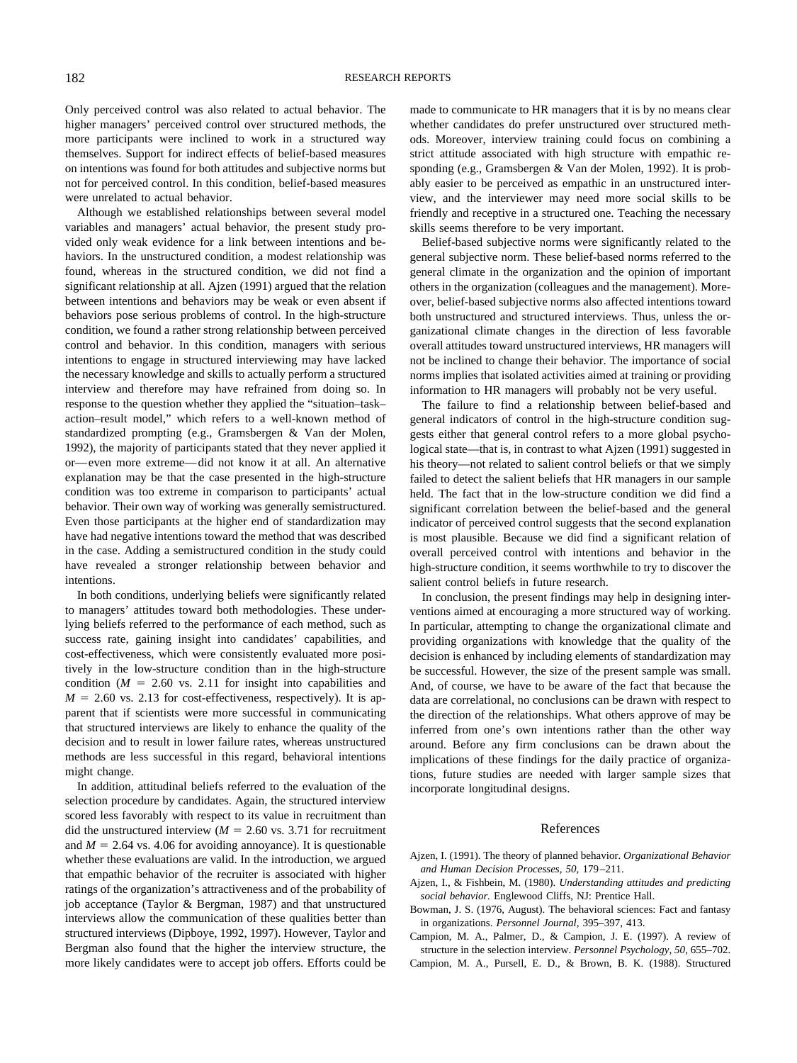Only perceived control was also related to actual behavior. The higher managers' perceived control over structured methods, the more participants were inclined to work in a structured way themselves. Support for indirect effects of belief-based measures on intentions was found for both attitudes and subjective norms but not for perceived control. In this condition, belief-based measures were unrelated to actual behavior.

Although we established relationships between several model variables and managers' actual behavior, the present study provided only weak evidence for a link between intentions and behaviors. In the unstructured condition, a modest relationship was found, whereas in the structured condition, we did not find a significant relationship at all. Ajzen (1991) argued that the relation between intentions and behaviors may be weak or even absent if behaviors pose serious problems of control. In the high-structure condition, we found a rather strong relationship between perceived control and behavior. In this condition, managers with serious intentions to engage in structured interviewing may have lacked the necessary knowledge and skills to actually perform a structured interview and therefore may have refrained from doing so. In response to the question whether they applied the "situation–task– action–result model," which refers to a well-known method of standardized prompting (e.g., Gramsbergen & Van der Molen, 1992), the majority of participants stated that they never applied it or—even more extreme—did not know it at all. An alternative explanation may be that the case presented in the high-structure condition was too extreme in comparison to participants' actual behavior. Their own way of working was generally semistructured. Even those participants at the higher end of standardization may have had negative intentions toward the method that was described in the case. Adding a semistructured condition in the study could have revealed a stronger relationship between behavior and intentions.

In both conditions, underlying beliefs were significantly related to managers' attitudes toward both methodologies. These underlying beliefs referred to the performance of each method, such as success rate, gaining insight into candidates' capabilities, and cost-effectiveness, which were consistently evaluated more positively in the low-structure condition than in the high-structure condition ( $M = 2.60$  vs. 2.11 for insight into capabilities and  $M = 2.60$  vs. 2.13 for cost-effectiveness, respectively). It is apparent that if scientists were more successful in communicating that structured interviews are likely to enhance the quality of the decision and to result in lower failure rates, whereas unstructured methods are less successful in this regard, behavioral intentions might change.

In addition, attitudinal beliefs referred to the evaluation of the selection procedure by candidates. Again, the structured interview scored less favorably with respect to its value in recruitment than did the unstructured interview ( $M = 2.60$  vs. 3.71 for recruitment and  $M = 2.64$  vs. 4.06 for avoiding annoyance). It is questionable whether these evaluations are valid. In the introduction, we argued that empathic behavior of the recruiter is associated with higher ratings of the organization's attractiveness and of the probability of job acceptance (Taylor & Bergman, 1987) and that unstructured interviews allow the communication of these qualities better than structured interviews (Dipboye, 1992, 1997). However, Taylor and Bergman also found that the higher the interview structure, the more likely candidates were to accept job offers. Efforts could be

made to communicate to HR managers that it is by no means clear whether candidates do prefer unstructured over structured methods. Moreover, interview training could focus on combining a strict attitude associated with high structure with empathic responding (e.g., Gramsbergen & Van der Molen, 1992). It is probably easier to be perceived as empathic in an unstructured interview, and the interviewer may need more social skills to be friendly and receptive in a structured one. Teaching the necessary skills seems therefore to be very important.

Belief-based subjective norms were significantly related to the general subjective norm. These belief-based norms referred to the general climate in the organization and the opinion of important others in the organization (colleagues and the management). Moreover, belief-based subjective norms also affected intentions toward both unstructured and structured interviews. Thus, unless the organizational climate changes in the direction of less favorable overall attitudes toward unstructured interviews, HR managers will not be inclined to change their behavior. The importance of social norms implies that isolated activities aimed at training or providing information to HR managers will probably not be very useful.

The failure to find a relationship between belief-based and general indicators of control in the high-structure condition suggests either that general control refers to a more global psychological state—that is, in contrast to what Ajzen (1991) suggested in his theory—not related to salient control beliefs or that we simply failed to detect the salient beliefs that HR managers in our sample held. The fact that in the low-structure condition we did find a significant correlation between the belief-based and the general indicator of perceived control suggests that the second explanation is most plausible. Because we did find a significant relation of overall perceived control with intentions and behavior in the high-structure condition, it seems worthwhile to try to discover the salient control beliefs in future research.

In conclusion, the present findings may help in designing interventions aimed at encouraging a more structured way of working. In particular, attempting to change the organizational climate and providing organizations with knowledge that the quality of the decision is enhanced by including elements of standardization may be successful. However, the size of the present sample was small. And, of course, we have to be aware of the fact that because the data are correlational, no conclusions can be drawn with respect to the direction of the relationships. What others approve of may be inferred from one's own intentions rather than the other way around. Before any firm conclusions can be drawn about the implications of these findings for the daily practice of organizations, future studies are needed with larger sample sizes that incorporate longitudinal designs.

# References

- Ajzen, I. (1991). The theory of planned behavior. *Organizational Behavior and Human Decision Processes, 50,* 179–211.
- Ajzen, I., & Fishbein, M. (1980). *Understanding attitudes and predicting social behavior.* Englewood Cliffs, NJ: Prentice Hall.
- Bowman, J. S. (1976, August). The behavioral sciences: Fact and fantasy in organizations. *Personnel Journal,* 395–397, 413.
- Campion, M. A., Palmer, D., & Campion, J. E. (1997). A review of structure in the selection interview. *Personnel Psychology, 50,* 655–702.
- Campion, M. A., Pursell, E. D., & Brown, B. K. (1988). Structured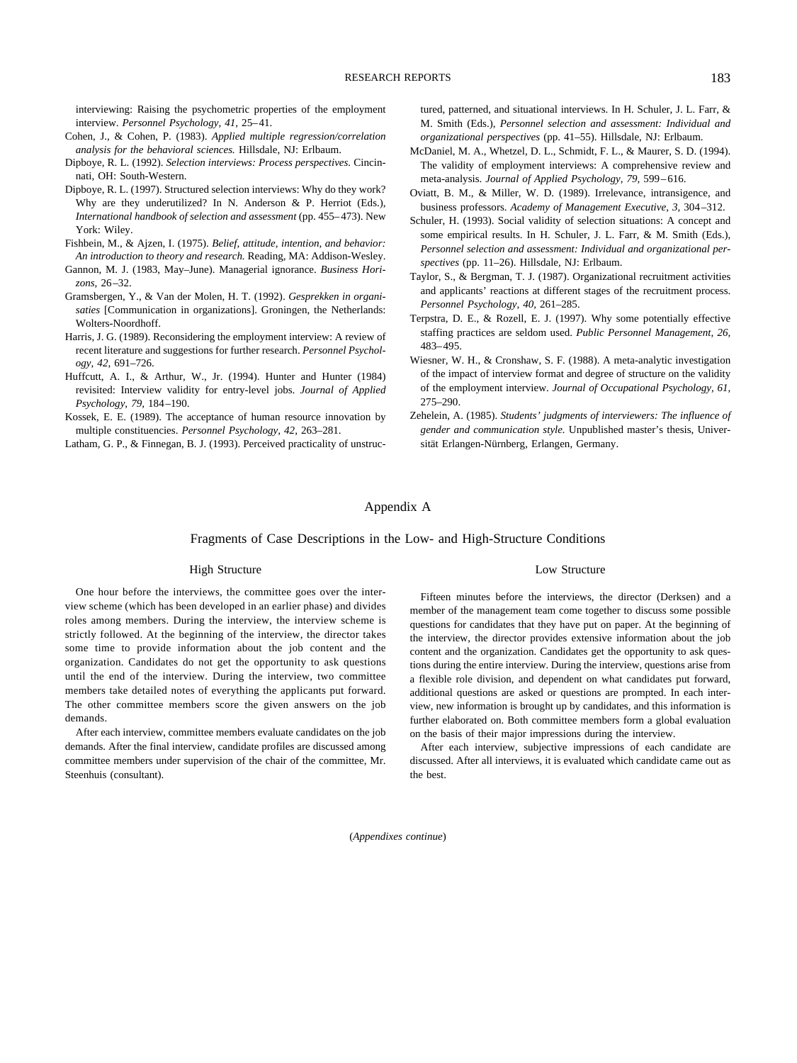interviewing: Raising the psychometric properties of the employment interview. *Personnel Psychology, 41,* 25–41.

- Cohen, J., & Cohen, P. (1983). *Applied multiple regression/correlation analysis for the behavioral sciences.* Hillsdale, NJ: Erlbaum.
- Dipboye, R. L. (1992). *Selection interviews: Process perspectives.* Cincinnati, OH: South-Western.
- Dipboye, R. L. (1997). Structured selection interviews: Why do they work? Why are they underutilized? In N. Anderson & P. Herriot (Eds.), *International handbook of selection and assessment* (pp. 455–473). New York: Wiley.
- Fishbein, M., & Ajzen, I. (1975). *Belief, attitude, intention, and behavior: An introduction to theory and research.* Reading, MA: Addison-Wesley.
- Gannon, M. J. (1983, May–June). Managerial ignorance. *Business Horizons,* 26–32.
- Gramsbergen, Y., & Van der Molen, H. T. (1992). *Gesprekken in organisaties* [Communication in organizations]. Groningen, the Netherlands: Wolters-Noordhoff.
- Harris, J. G. (1989). Reconsidering the employment interview: A review of recent literature and suggestions for further research. *Personnel Psychology, 42,* 691–726.
- Huffcutt, A. I., & Arthur, W., Jr. (1994). Hunter and Hunter (1984) revisited: Interview validity for entry-level jobs. *Journal of Applied Psychology, 79,* 184–190.
- Kossek, E. E. (1989). The acceptance of human resource innovation by multiple constituencies. *Personnel Psychology, 42,* 263–281.
- Latham, G. P., & Finnegan, B. J. (1993). Perceived practicality of unstruc-

tured, patterned, and situational interviews. In H. Schuler, J. L. Farr, & M. Smith (Eds.), *Personnel selection and assessment: Individual and organizational perspectives* (pp. 41–55). Hillsdale, NJ: Erlbaum.

- McDaniel, M. A., Whetzel, D. L., Schmidt, F. L., & Maurer, S. D. (1994). The validity of employment interviews: A comprehensive review and meta-analysis. *Journal of Applied Psychology, 79,* 599–616.
- Oviatt, B. M., & Miller, W. D. (1989). Irrelevance, intransigence, and business professors. *Academy of Management Executive, 3,* 304–312.
- Schuler, H. (1993). Social validity of selection situations: A concept and some empirical results. In H. Schuler, J. L. Farr, & M. Smith (Eds.), *Personnel selection and assessment: Individual and organizational perspectives* (pp. 11–26). Hillsdale, NJ: Erlbaum.
- Taylor, S., & Bergman, T. J. (1987). Organizational recruitment activities and applicants' reactions at different stages of the recruitment process. *Personnel Psychology, 40,* 261–285.
- Terpstra, D. E., & Rozell, E. J. (1997). Why some potentially effective staffing practices are seldom used. *Public Personnel Management, 26,* 483–495.
- Wiesner, W. H., & Cronshaw, S. F. (1988). A meta-analytic investigation of the impact of interview format and degree of structure on the validity of the employment interview. *Journal of Occupational Psychology, 61,* 275–290.
- Zehelein, A. (1985). *Students' judgments of interviewers: The influence of gender and communication style.* Unpublished master's thesis, Universität Erlangen-Nürnberg, Erlangen, Germany.

# Appendix A

# Fragments of Case Descriptions in the Low- and High-Structure Conditions

# High Structure

One hour before the interviews, the committee goes over the interview scheme (which has been developed in an earlier phase) and divides roles among members. During the interview, the interview scheme is strictly followed. At the beginning of the interview, the director takes some time to provide information about the job content and the organization. Candidates do not get the opportunity to ask questions until the end of the interview. During the interview, two committee members take detailed notes of everything the applicants put forward. The other committee members score the given answers on the job demands.

After each interview, committee members evaluate candidates on the job demands. After the final interview, candidate profiles are discussed among committee members under supervision of the chair of the committee, Mr. Steenhuis (consultant).

# Low Structure

Fifteen minutes before the interviews, the director (Derksen) and a member of the management team come together to discuss some possible questions for candidates that they have put on paper. At the beginning of the interview, the director provides extensive information about the job content and the organization. Candidates get the opportunity to ask questions during the entire interview. During the interview, questions arise from a flexible role division, and dependent on what candidates put forward, additional questions are asked or questions are prompted. In each interview, new information is brought up by candidates, and this information is further elaborated on. Both committee members form a global evaluation on the basis of their major impressions during the interview.

After each interview, subjective impressions of each candidate are discussed. After all interviews, it is evaluated which candidate came out as the best.

(*Appendixes continue*)